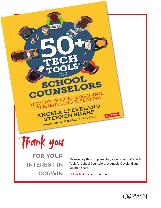

[LEARN MORE about this title!](https://us.corwin.com/en-us/nam/50-tech-tools-for-school-counselors/book263015)

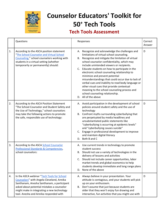

## **Counselor Educators' Toolkit for 50+ Tech Tools**

## **Tech Tools Assessment**

|    | Questions                                                                                                                                                                                                                                                                   | Responses                                                                                                                                                                                                                                                                                                                                                                                                                                                                                                                                                                                                                                               | Correct<br>Answer |
|----|-----------------------------------------------------------------------------------------------------------------------------------------------------------------------------------------------------------------------------------------------------------------------------|---------------------------------------------------------------------------------------------------------------------------------------------------------------------------------------------------------------------------------------------------------------------------------------------------------------------------------------------------------------------------------------------------------------------------------------------------------------------------------------------------------------------------------------------------------------------------------------------------------------------------------------------------------|-------------------|
| 1. | According to the ASCA position statement<br>"The School Counselor and Virtual School<br>Counseling," school counselors working with<br>students in a virtual setting (whether<br>temporarily or permanently) should:                                                        | A. Recognize and acknowledge the challenges and<br>limitations of virtual school counseling.<br>B. Recognize and mitigate the limitation of virtual<br>school counselor confidentiality, which may<br>include unintended viewers or recipients.<br>C. Educate students on how to participate in the<br>electronic school counseling relationship to<br>minimize and prevent potential<br>misunderstandings that could occur due to lack of<br>verbal cues and inability to read body language or<br>other visual cues that provide contextual<br>meaning to the school counseling process and<br>school counseling relationship.<br>D. All of the above | D                 |
| 2. | According to the ASCA Position Statement<br>"The School Counselor and Student Safety and<br>the Use of Technology," school counselors<br>may take the following actions to promote<br>the safe, responsible use of technology:                                              | A. Avoid participation in the development of school<br>policies around student safety and the use of<br>technology<br>B. Confront myths surrounding cyberbullying that<br>are perpetuated by media headlines and<br>unsubstantiated public statements like<br>"cyberbullying is occurring at epidemic levels"<br>and "cyberbullying causes suicide"<br>C. Engage in professional development to improve<br>and maintain digital literacy<br>Both B and C<br>D.                                                                                                                                                                                          | D                 |
| 3. | According to the ASCA School Counselor<br>Professional Standards & Competencies,<br>school counselors:                                                                                                                                                                      | A. Use current trends in technology to promote<br>student success<br>B. Should not use a variety of technologies in the<br>delivery of lessons and activities<br>C. Should not include career opportunities, labor<br>market trends and global economics to help<br>students develop immediate and long range plans<br>D. None of the above                                                                                                                                                                                                                                                                                                             |                   |
| 4. | In the ASCA webinar "Tech Tools for School<br>Counselors" with Angela Cleveland, Annika<br>Santhanam, Anesha Santhanam, a participant<br>asked about potential mistakes a counselor<br>might make in integrating a new technology<br>tool. Anesha and Annika responded with | A. Always believe in your presentation. Your<br>attitude is contagious, and your students will pick<br>up on your enthusiasm.<br>B. Don't assume that just because students are<br>older that they won't enjoy fun drawing and<br>interactive, fun activities that you might use with                                                                                                                                                                                                                                                                                                                                                                   | D                 |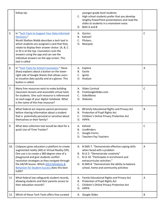|     | follow tip:                                                                                                                                                                                                                                                                                                                                                        |          | younger grade-level students.<br>C. High school students prefer that you develop<br>lengthy PowerPoint presentations and read the<br>slides to students in a monotone voice.<br>D. Both A and B                                                                                             |   |
|-----|--------------------------------------------------------------------------------------------------------------------------------------------------------------------------------------------------------------------------------------------------------------------------------------------------------------------------------------------------------------------|----------|---------------------------------------------------------------------------------------------------------------------------------------------------------------------------------------------------------------------------------------------------------------------------------------------|---|
| 5.  | In "Tech Tools to Support Your Data-Informed<br>Decisions,"<br>Nicohl Shelton Webb describes a tech tool in<br>which students are assigned a card that they<br>rotate to display their answer choice (A, B, C<br>or D) is at the top. Counselors scan the<br>answers using the app and can see the<br>individual answers on the app screen. This<br>tool is called | В.<br>C. | A. Quizizz.<br>Kahoot!<br>Plickers.<br>D. Nearpod.                                                                                                                                                                                                                                          | C |
| 6.  | In "Tech Tools for School Counselors," Steve<br>Sharp explains about a button on the lower<br>right side of Google Sheets that allows users<br>to visualize data quickly and at a glance. This<br>button is called:                                                                                                                                                | В.<br>C. | A. Explore<br>Excite<br>Ignite<br>D. Analyze                                                                                                                                                                                                                                                | A |
| 7.  | Many free resources exist to make building<br>classroom lessons and accessible virtual tools<br>for students. One such resource is referenced<br>on each page of your digital notebook. What<br>is the name of this free resource?                                                                                                                                 | C.       | A. Slides Carnival<br>B. FreeGoogleSlides.com<br>SidesMania<br>D. SlidesGo                                                                                                                                                                                                                  | C |
| 8.  | What federal act requires parent permission<br>before sharing information about a student<br>that is potentially personal or sensitive about<br>themselves or their family?                                                                                                                                                                                        |          | A. BlFamily Educational Rights and Privacy Act<br>B. Protection of Pupil Rights Act<br>C. Children's Online Privacy Protection Act<br>D. HIPPA                                                                                                                                              | B |
| 9.  | What data collection tool would be ideal for a<br>quick Use-of-Time Tracker?                                                                                                                                                                                                                                                                                       | В.<br>C. | A. Kahoot<br>LiveBinders<br>Google Forms<br>D. Teachers Pay Teachers                                                                                                                                                                                                                        | C |
| 10. | CoSpaces gives educators a platform to create<br>augmented reality (AR) or Virtual Reality (VR).<br>One use is to create a 360-degree view of a<br>playground and give students conflict<br>resolution strategies as they navigate through<br>the AR/VR lesson. Which ASCA Mindsets &<br>Behaviors for Student Success does this best<br>fulfill?                  | C.       | A. B-SMS 7: "Demonstrate effective coping skills<br>when faced with a problem<br>B. B-LS 2: "Demonstrate creativity"<br>B-LS 10: "Participate in enrichment and<br>extracurricular activities."<br>D. B-SMS 8: "Demonstrate the ability to balance<br>school, home and community activities | Α |
| 11  | What federal law safeguards student records,<br>allowing students and their parents access to<br>their education records?                                                                                                                                                                                                                                          | В.<br>C. | A. Family Educational Rights and Privacy Act<br>Protection of Pupil Rights Act<br>Children's Online Privacy Protection Act<br>D. HIPPA                                                                                                                                                      | Α |
| 12  | Which of these Tech Tools offers free curated                                                                                                                                                                                                                                                                                                                      |          | A. Google Slides                                                                                                                                                                                                                                                                            | B |